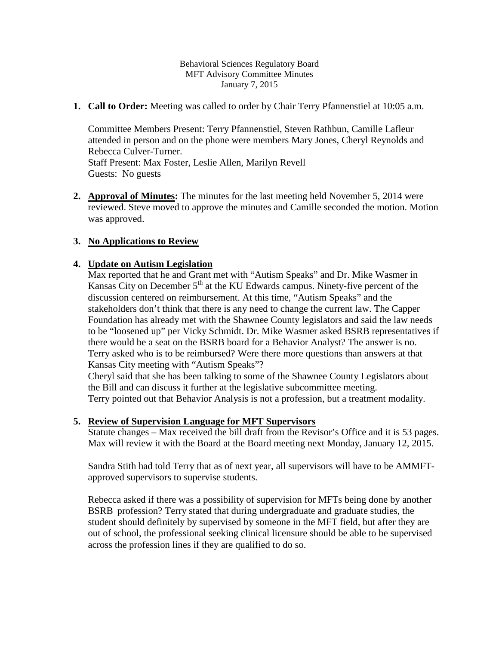Behavioral Sciences Regulatory Board MFT Advisory Committee Minutes January 7, 2015

**1. Call to Order:** Meeting was called to order by Chair Terry Pfannenstiel at 10:05 a.m.

Committee Members Present: Terry Pfannenstiel, Steven Rathbun, Camille Lafleur attended in person and on the phone were members Mary Jones, Cheryl Reynolds and Rebecca Culver-Turner. Staff Present: Max Foster, Leslie Allen, Marilyn Revell Guests: No guests

**2. Approval of Minutes:** The minutes for the last meeting held November 5, 2014 were reviewed. Steve moved to approve the minutes and Camille seconded the motion. Motion was approved.

# **3. No Applications to Review**

### **4. Update on Autism Legislation**

Max reported that he and Grant met with "Autism Speaks" and Dr. Mike Wasmer in Kansas City on December  $5<sup>th</sup>$  at the KU Edwards campus. Ninety-five percent of the discussion centered on reimbursement. At this time, "Autism Speaks" and the stakeholders don't think that there is any need to change the current law. The Capper Foundation has already met with the Shawnee County legislators and said the law needs to be "loosened up" per Vicky Schmidt. Dr. Mike Wasmer asked BSRB representatives if there would be a seat on the BSRB board for a Behavior Analyst? The answer is no. Terry asked who is to be reimbursed? Were there more questions than answers at that Kansas City meeting with "Autism Speaks"?

Cheryl said that she has been talking to some of the Shawnee County Legislators about the Bill and can discuss it further at the legislative subcommittee meeting.

Terry pointed out that Behavior Analysis is not a profession, but a treatment modality.

### **5. Review of Supervision Language for MFT Supervisors**

Statute changes – Max received the bill draft from the Revisor's Office and it is 53 pages. Max will review it with the Board at the Board meeting next Monday, January 12, 2015.

Sandra Stith had told Terry that as of next year, all supervisors will have to be AMMFTapproved supervisors to supervise students.

Rebecca asked if there was a possibility of supervision for MFTs being done by another BSRB profession? Terry stated that during undergraduate and graduate studies, the student should definitely by supervised by someone in the MFT field, but after they are out of school, the professional seeking clinical licensure should be able to be supervised across the profession lines if they are qualified to do so.